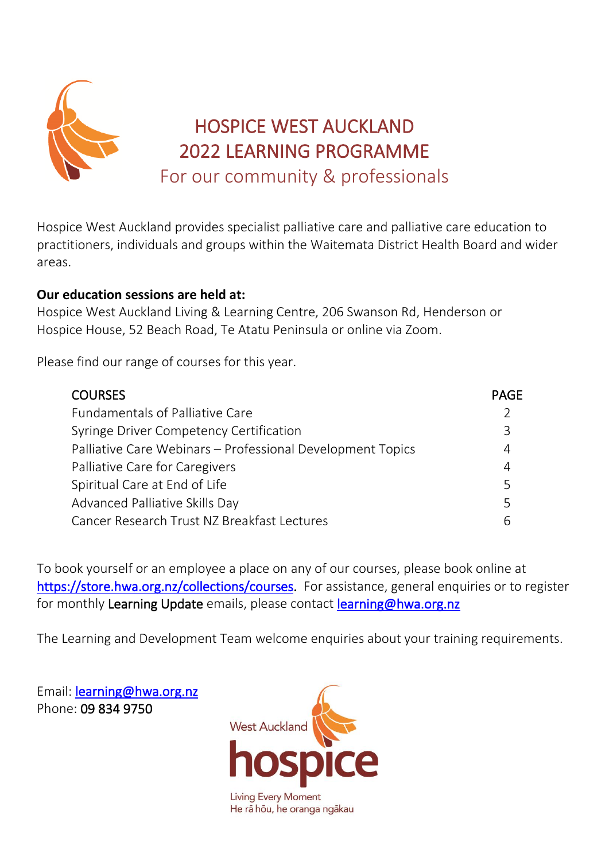

Hospice West Auckland provides specialist palliative care and palliative care education to practitioners, individuals and groups within the Waitemata District Health Board and wider areas.

## **Our education sessions are held at:**

Hospice West Auckland Living & Learning Centre, 206 Swanson Rd, Henderson or Hospice House, 52 Beach Road, Te Atatu Peninsula or online via Zoom.

Please find our range of courses for this year.

| <b>COURSES</b>                                             | <b>PAGE</b> |
|------------------------------------------------------------|-------------|
| <b>Fundamentals of Palliative Care</b>                     |             |
| Syringe Driver Competency Certification                    | 3           |
| Palliative Care Webinars - Professional Development Topics | 4           |
| Palliative Care for Caregivers                             | 4           |
| Spiritual Care at End of Life                              | 5           |
| Advanced Palliative Skills Day                             | 5           |
| Cancer Research Trust NZ Breakfast Lectures                |             |

To book yourself or an employee a place on any of our courses, please book online at [https://store.hwa.org.nz/collections/courses.](https://store.hwa.org.nz/collections/courses) For assistance, general enquiries or to register for monthly Learning Update emails, please contact [learning@hwa.org.nz](mailto:learning@hwa.org.nz)

The Learning and Development Team welcome enquiries about your training requirements.

Email: [learning@hwa.org.nz](mailto:learning@hwa.org.nz)  Phone: 09 834 9750

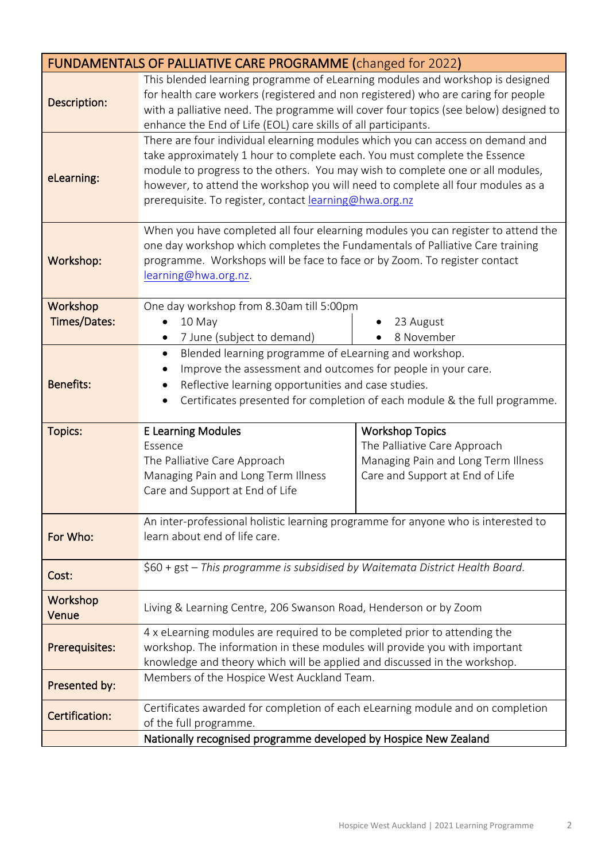|                     | <b>FUNDAMENTALS OF PALLIATIVE CARE PROGRAMME (changed for 2022)</b>                                                                                                                                                                                                                                                                                                                        |                                                                                                                                  |  |
|---------------------|--------------------------------------------------------------------------------------------------------------------------------------------------------------------------------------------------------------------------------------------------------------------------------------------------------------------------------------------------------------------------------------------|----------------------------------------------------------------------------------------------------------------------------------|--|
| Description:        | This blended learning programme of eLearning modules and workshop is designed<br>for health care workers (registered and non registered) who are caring for people<br>with a palliative need. The programme will cover four topics (see below) designed to<br>enhance the End of Life (EOL) care skills of all participants.                                                               |                                                                                                                                  |  |
| eLearning:          | There are four individual elearning modules which you can access on demand and<br>take approximately 1 hour to complete each. You must complete the Essence<br>module to progress to the others. You may wish to complete one or all modules,<br>however, to attend the workshop you will need to complete all four modules as a<br>prerequisite. To register, contact learning@hwa.org.nz |                                                                                                                                  |  |
| Workshop:           | When you have completed all four elearning modules you can register to attend the<br>one day workshop which completes the Fundamentals of Palliative Care training<br>programme. Workshops will be face to face or by Zoom. To register contact<br>learning@hwa.org.nz.                                                                                                                    |                                                                                                                                  |  |
| Workshop            | One day workshop from 8.30am till 5:00pm                                                                                                                                                                                                                                                                                                                                                   |                                                                                                                                  |  |
| <b>Times/Dates:</b> | 10 May                                                                                                                                                                                                                                                                                                                                                                                     | 23 August                                                                                                                        |  |
|                     | 8 November<br>7 June (subject to demand)<br>$\bullet$<br>Blended learning programme of eLearning and workshop.<br>$\bullet$                                                                                                                                                                                                                                                                |                                                                                                                                  |  |
| <b>Benefits:</b>    | Improve the assessment and outcomes for people in your care.<br>$\bullet$<br>Reflective learning opportunities and case studies.<br>$\bullet$<br>Certificates presented for completion of each module & the full programme.<br>$\bullet$                                                                                                                                                   |                                                                                                                                  |  |
| <b>Topics:</b>      | <b>E Learning Modules</b><br>Essence<br>The Palliative Care Approach<br>Managing Pain and Long Term Illness<br>Care and Support at End of Life                                                                                                                                                                                                                                             | <b>Workshop Topics</b><br>The Palliative Care Approach<br>Managing Pain and Long Term Illness<br>Care and Support at End of Life |  |
| For Who:            | An inter-professional holistic learning programme for anyone who is interested to<br>learn about end of life care.                                                                                                                                                                                                                                                                         |                                                                                                                                  |  |
| Cost:               | \$60 + gst - This programme is subsidised by Waitemata District Health Board.                                                                                                                                                                                                                                                                                                              |                                                                                                                                  |  |
| Workshop<br>Venue   | Living & Learning Centre, 206 Swanson Road, Henderson or by Zoom                                                                                                                                                                                                                                                                                                                           |                                                                                                                                  |  |
| Prerequisites:      | 4 x eLearning modules are required to be completed prior to attending the<br>workshop. The information in these modules will provide you with important<br>knowledge and theory which will be applied and discussed in the workshop.                                                                                                                                                       |                                                                                                                                  |  |
| Presented by:       | Members of the Hospice West Auckland Team.                                                                                                                                                                                                                                                                                                                                                 |                                                                                                                                  |  |
| Certification:      | Certificates awarded for completion of each eLearning module and on completion<br>of the full programme.                                                                                                                                                                                                                                                                                   |                                                                                                                                  |  |
|                     | Nationally recognised programme developed by Hospice New Zealand                                                                                                                                                                                                                                                                                                                           |                                                                                                                                  |  |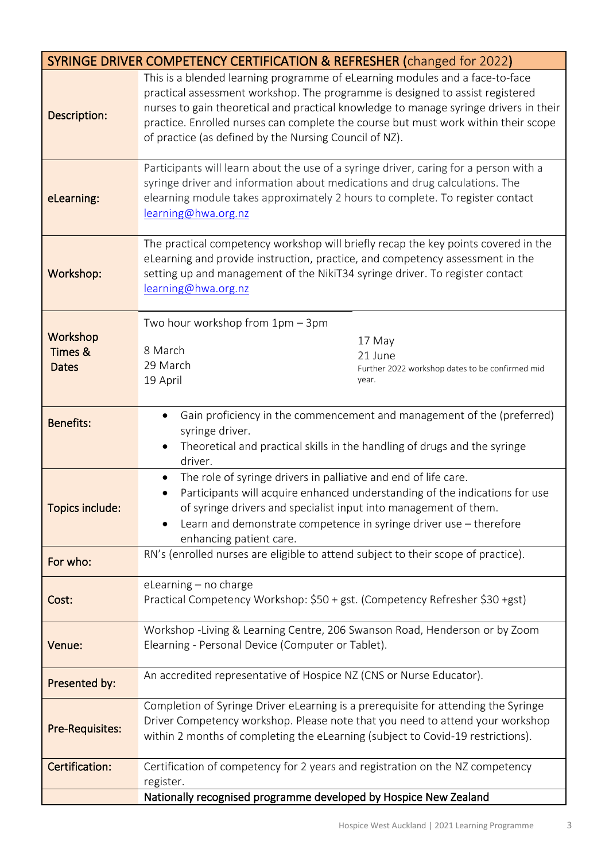| SYRINGE DRIVER COMPETENCY CERTIFICATION & REFRESHER (changed for 2022) |                                                                                                                                                                                                                                                                                                                                                                                                        |  |
|------------------------------------------------------------------------|--------------------------------------------------------------------------------------------------------------------------------------------------------------------------------------------------------------------------------------------------------------------------------------------------------------------------------------------------------------------------------------------------------|--|
| Description:                                                           | This is a blended learning programme of eLearning modules and a face-to-face<br>practical assessment workshop. The programme is designed to assist registered<br>nurses to gain theoretical and practical knowledge to manage syringe drivers in their<br>practice. Enrolled nurses can complete the course but must work within their scope<br>of practice (as defined by the Nursing Council of NZ). |  |
| eLearning:                                                             | Participants will learn about the use of a syringe driver, caring for a person with a<br>syringe driver and information about medications and drug calculations. The<br>elearning module takes approximately 2 hours to complete. To register contact<br>learning@hwa.org.nz                                                                                                                           |  |
| Workshop:                                                              | The practical competency workshop will briefly recap the key points covered in the<br>eLearning and provide instruction, practice, and competency assessment in the<br>setting up and management of the NikiT34 syringe driver. To register contact<br>learning@hwa.org.nz                                                                                                                             |  |
| Workshop<br><b>Times &amp;</b><br><b>Dates</b>                         | Two hour workshop from 1pm - 3pm<br>17 May<br>8 March<br>21 June<br>29 March<br>Further 2022 workshop dates to be confirmed mid<br>19 April<br>year.                                                                                                                                                                                                                                                   |  |
| <b>Benefits:</b>                                                       | Gain proficiency in the commencement and management of the (preferred)<br>$\bullet$<br>syringe driver.<br>Theoretical and practical skills in the handling of drugs and the syringe<br>$\bullet$<br>driver.                                                                                                                                                                                            |  |
| Topics include:                                                        | The role of syringe drivers in palliative and end of life care.<br>$\bullet$<br>Participants will acquire enhanced understanding of the indications for use<br>of syringe drivers and specialist input into management of them.<br>Learn and demonstrate competence in syringe driver use - therefore<br>enhancing patient care.                                                                       |  |
| For who:                                                               | RN's (enrolled nurses are eligible to attend subject to their scope of practice).                                                                                                                                                                                                                                                                                                                      |  |
| Cost:                                                                  | eLearning - no charge<br>Practical Competency Workshop: \$50 + gst. (Competency Refresher \$30 +gst)                                                                                                                                                                                                                                                                                                   |  |
| Venue:                                                                 | Workshop -Living & Learning Centre, 206 Swanson Road, Henderson or by Zoom<br>Elearning - Personal Device (Computer or Tablet).                                                                                                                                                                                                                                                                        |  |
| Presented by:                                                          | An accredited representative of Hospice NZ (CNS or Nurse Educator).                                                                                                                                                                                                                                                                                                                                    |  |
| <b>Pre-Requisites:</b>                                                 | Completion of Syringe Driver eLearning is a prerequisite for attending the Syringe<br>Driver Competency workshop. Please note that you need to attend your workshop<br>within 2 months of completing the eLearning (subject to Covid-19 restrictions).                                                                                                                                                 |  |
| Certification:                                                         | Certification of competency for 2 years and registration on the NZ competency<br>register.                                                                                                                                                                                                                                                                                                             |  |
|                                                                        | Nationally recognised programme developed by Hospice New Zealand                                                                                                                                                                                                                                                                                                                                       |  |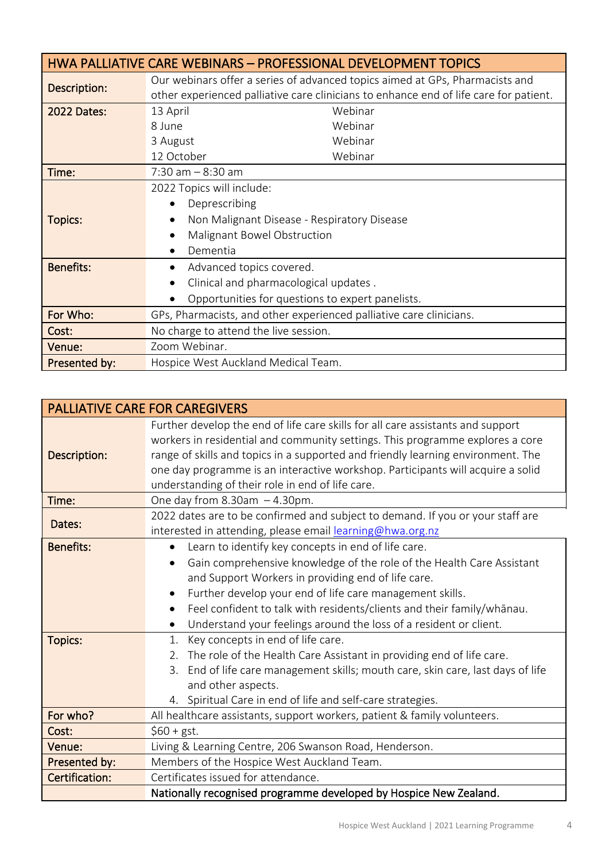| HWA PALLIATIVE CARE WEBINARS - PROFESSIONAL DEVELOPMENT TOPICS |                                                                                                                                                                       |  |
|----------------------------------------------------------------|-----------------------------------------------------------------------------------------------------------------------------------------------------------------------|--|
| Description:                                                   | Our webinars offer a series of advanced topics aimed at GPs, Pharmacists and<br>other experienced palliative care clinicians to enhance end of life care for patient. |  |
| <b>2022 Dates:</b>                                             | 13 April<br>Webinar                                                                                                                                                   |  |
|                                                                | Webinar<br>8 June                                                                                                                                                     |  |
|                                                                | Webinar<br>3 August                                                                                                                                                   |  |
|                                                                | 12 October<br>Webinar                                                                                                                                                 |  |
| Time:                                                          | $7:30$ am $-8:30$ am                                                                                                                                                  |  |
|                                                                | 2022 Topics will include:                                                                                                                                             |  |
|                                                                | Deprescribing<br>$\bullet$                                                                                                                                            |  |
| <b>Topics:</b>                                                 | Non Malignant Disease - Respiratory Disease                                                                                                                           |  |
|                                                                | Malignant Bowel Obstruction                                                                                                                                           |  |
|                                                                | Dementia                                                                                                                                                              |  |
| <b>Benefits:</b>                                               | Advanced topics covered.<br>$\bullet$                                                                                                                                 |  |
|                                                                | Clinical and pharmacological updates.                                                                                                                                 |  |
|                                                                | Opportunities for questions to expert panelists.<br>$\bullet$                                                                                                         |  |
| For Who:                                                       | GPs, Pharmacists, and other experienced palliative care clinicians.                                                                                                   |  |
| Cost:                                                          | No charge to attend the live session.                                                                                                                                 |  |
| Venue:                                                         | Zoom Webinar.                                                                                                                                                         |  |
| Presented by:                                                  | Hospice West Auckland Medical Team.                                                                                                                                   |  |

|                  | <b>PALLIATIVE CARE FOR CAREGIVERS</b>                                                                                                                                                                                                                                                                                                                                                       |  |  |
|------------------|---------------------------------------------------------------------------------------------------------------------------------------------------------------------------------------------------------------------------------------------------------------------------------------------------------------------------------------------------------------------------------------------|--|--|
| Description:     | Further develop the end of life care skills for all care assistants and support<br>workers in residential and community settings. This programme explores a core<br>range of skills and topics in a supported and friendly learning environment. The<br>one day programme is an interactive workshop. Participants will acquire a solid<br>understanding of their role in end of life care. |  |  |
| Time:            | One day from $8.30$ am $-4.30$ pm.                                                                                                                                                                                                                                                                                                                                                          |  |  |
| Dates:           | 2022 dates are to be confirmed and subject to demand. If you or your staff are<br>interested in attending, please email learning@hwa.org.nz                                                                                                                                                                                                                                                 |  |  |
| <b>Benefits:</b> | Learn to identify key concepts in end of life care.<br>$\bullet$                                                                                                                                                                                                                                                                                                                            |  |  |
|                  | Gain comprehensive knowledge of the role of the Health Care Assistant<br>$\bullet$                                                                                                                                                                                                                                                                                                          |  |  |
|                  | and Support Workers in providing end of life care.                                                                                                                                                                                                                                                                                                                                          |  |  |
|                  | Further develop your end of life care management skills.<br>$\bullet$                                                                                                                                                                                                                                                                                                                       |  |  |
|                  | Feel confident to talk with residents/clients and their family/whanau.<br>$\bullet$                                                                                                                                                                                                                                                                                                         |  |  |
|                  | Understand your feelings around the loss of a resident or client.                                                                                                                                                                                                                                                                                                                           |  |  |
| <b>Topics:</b>   | Key concepts in end of life care.<br>1.                                                                                                                                                                                                                                                                                                                                                     |  |  |
|                  | The role of the Health Care Assistant in providing end of life care.<br>2.                                                                                                                                                                                                                                                                                                                  |  |  |
|                  | End of life care management skills; mouth care, skin care, last days of life<br>3.                                                                                                                                                                                                                                                                                                          |  |  |
|                  | and other aspects.                                                                                                                                                                                                                                                                                                                                                                          |  |  |
|                  | 4. Spiritual Care in end of life and self-care strategies.                                                                                                                                                                                                                                                                                                                                  |  |  |
| For who?         | All healthcare assistants, support workers, patient & family volunteers.                                                                                                                                                                                                                                                                                                                    |  |  |
| Cost:            | $$60 + gst.$                                                                                                                                                                                                                                                                                                                                                                                |  |  |
| Venue:           | Living & Learning Centre, 206 Swanson Road, Henderson.                                                                                                                                                                                                                                                                                                                                      |  |  |
| Presented by:    | Members of the Hospice West Auckland Team.                                                                                                                                                                                                                                                                                                                                                  |  |  |
| Certification:   | Certificates issued for attendance.                                                                                                                                                                                                                                                                                                                                                         |  |  |
|                  | Nationally recognised programme developed by Hospice New Zealand.                                                                                                                                                                                                                                                                                                                           |  |  |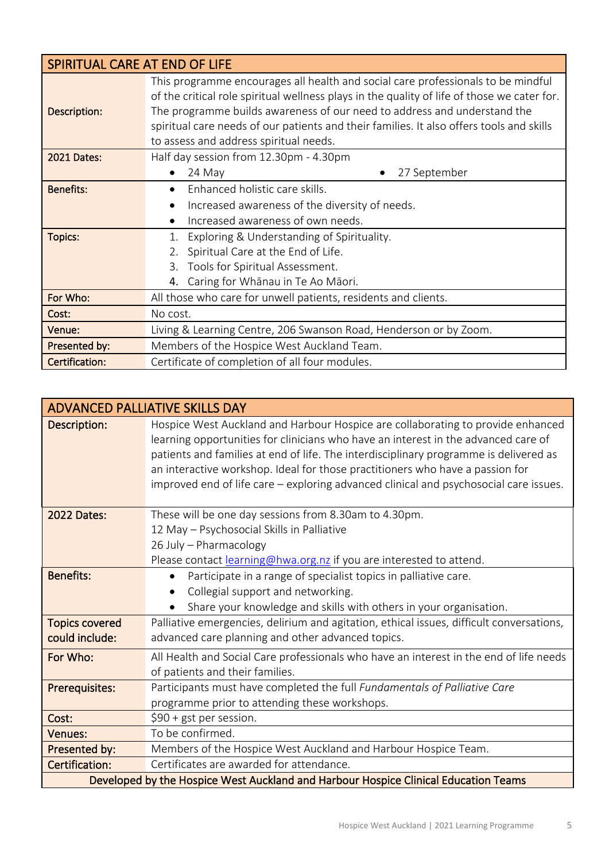| SPIRITUAL CARE AT END OF LIFE |                                                                                                                                                                                                                                                                                                                                                                                                   |  |  |
|-------------------------------|---------------------------------------------------------------------------------------------------------------------------------------------------------------------------------------------------------------------------------------------------------------------------------------------------------------------------------------------------------------------------------------------------|--|--|
| Description:                  | This programme encourages all health and social care professionals to be mindful<br>of the critical role spiritual wellness plays in the quality of life of those we cater for.<br>The programme builds awareness of our need to address and understand the<br>spiritual care needs of our patients and their families. It also offers tools and skills<br>to assess and address spiritual needs. |  |  |
| <b>2021 Dates:</b>            | Half day session from 12.30pm - 4.30pm                                                                                                                                                                                                                                                                                                                                                            |  |  |
|                               | 27 September<br>24 May<br>$\bullet$                                                                                                                                                                                                                                                                                                                                                               |  |  |
| <b>Benefits:</b>              | Enhanced holistic care skills.                                                                                                                                                                                                                                                                                                                                                                    |  |  |
|                               | Increased awareness of the diversity of needs.<br>$\bullet$                                                                                                                                                                                                                                                                                                                                       |  |  |
|                               | Increased awareness of own needs.                                                                                                                                                                                                                                                                                                                                                                 |  |  |
| <b>Topics:</b>                | Exploring & Understanding of Spirituality.                                                                                                                                                                                                                                                                                                                                                        |  |  |
|                               | Spiritual Care at the End of Life.                                                                                                                                                                                                                                                                                                                                                                |  |  |
|                               | Tools for Spiritual Assessment.                                                                                                                                                                                                                                                                                                                                                                   |  |  |
|                               | Caring for Whānau in Te Ao Māori.<br>4.                                                                                                                                                                                                                                                                                                                                                           |  |  |
| For Who:                      | All those who care for unwell patients, residents and clients.                                                                                                                                                                                                                                                                                                                                    |  |  |
| Cost:                         | No cost.                                                                                                                                                                                                                                                                                                                                                                                          |  |  |
| Venue:                        | Living & Learning Centre, 206 Swanson Road, Henderson or by Zoom.                                                                                                                                                                                                                                                                                                                                 |  |  |
| Presented by:                 | Members of the Hospice West Auckland Team.                                                                                                                                                                                                                                                                                                                                                        |  |  |
| Certification:                | Certificate of completion of all four modules.                                                                                                                                                                                                                                                                                                                                                    |  |  |

|                                                                                     | <b>ADVANCED PALLIATIVE SKILLS DAY</b>                                                                                                                                                                                                                                                                                                                                                                                                    |
|-------------------------------------------------------------------------------------|------------------------------------------------------------------------------------------------------------------------------------------------------------------------------------------------------------------------------------------------------------------------------------------------------------------------------------------------------------------------------------------------------------------------------------------|
| Description:                                                                        | Hospice West Auckland and Harbour Hospice are collaborating to provide enhanced<br>learning opportunities for clinicians who have an interest in the advanced care of<br>patients and families at end of life. The interdisciplinary programme is delivered as<br>an interactive workshop. Ideal for those practitioners who have a passion for<br>improved end of life care – exploring advanced clinical and psychosocial care issues. |
| <b>2022 Dates:</b>                                                                  | These will be one day sessions from 8.30am to 4.30pm.                                                                                                                                                                                                                                                                                                                                                                                    |
|                                                                                     | 12 May - Psychosocial Skills in Palliative                                                                                                                                                                                                                                                                                                                                                                                               |
|                                                                                     | 26 July - Pharmacology                                                                                                                                                                                                                                                                                                                                                                                                                   |
|                                                                                     | Please contact learning@hwa.org.nz if you are interested to attend.                                                                                                                                                                                                                                                                                                                                                                      |
| <b>Benefits:</b>                                                                    | Participate in a range of specialist topics in palliative care.<br>$\bullet$                                                                                                                                                                                                                                                                                                                                                             |
|                                                                                     | Collegial support and networking.                                                                                                                                                                                                                                                                                                                                                                                                        |
|                                                                                     | Share your knowledge and skills with others in your organisation.                                                                                                                                                                                                                                                                                                                                                                        |
| <b>Topics covered</b>                                                               | Palliative emergencies, delirium and agitation, ethical issues, difficult conversations,                                                                                                                                                                                                                                                                                                                                                 |
| could include:                                                                      | advanced care planning and other advanced topics.                                                                                                                                                                                                                                                                                                                                                                                        |
| For Who:                                                                            | All Health and Social Care professionals who have an interest in the end of life needs                                                                                                                                                                                                                                                                                                                                                   |
|                                                                                     | of patients and their families.                                                                                                                                                                                                                                                                                                                                                                                                          |
| Prerequisites:                                                                      | Participants must have completed the full Fundamentals of Palliative Care                                                                                                                                                                                                                                                                                                                                                                |
|                                                                                     | programme prior to attending these workshops.                                                                                                                                                                                                                                                                                                                                                                                            |
| Cost:                                                                               | $$90 + gst$ per session.                                                                                                                                                                                                                                                                                                                                                                                                                 |
| Venues:                                                                             | To be confirmed.                                                                                                                                                                                                                                                                                                                                                                                                                         |
| Presented by:                                                                       | Members of the Hospice West Auckland and Harbour Hospice Team.                                                                                                                                                                                                                                                                                                                                                                           |
| Certification:                                                                      | Certificates are awarded for attendance.                                                                                                                                                                                                                                                                                                                                                                                                 |
| Developed by the Hospice West Auckland and Harbour Hospice Clinical Education Teams |                                                                                                                                                                                                                                                                                                                                                                                                                                          |